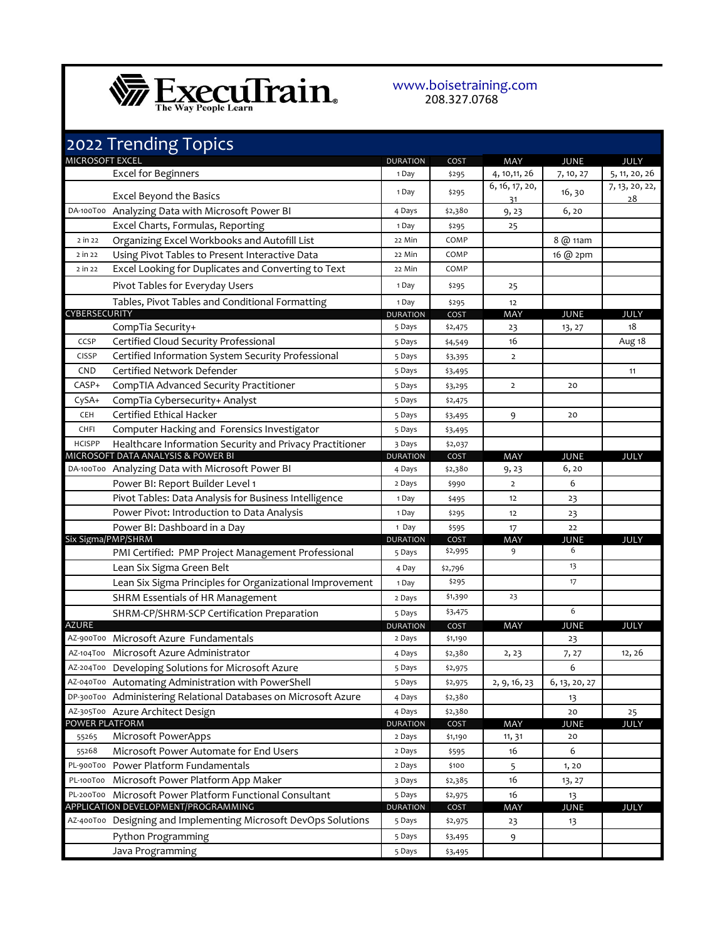

## www.boisetraining.com 208.327.0768

|                      | 2022 Trending Topics                                            |                          |               |                      |               |                      |
|----------------------|-----------------------------------------------------------------|--------------------------|---------------|----------------------|---------------|----------------------|
| MICROSOFT EXCEL      |                                                                 | <b>DURATION</b>          | COST          | MAY                  | <b>JUNE</b>   | <b>JULY</b>          |
|                      | <b>Excel for Beginners</b>                                      | 1 Day                    | \$295         | 4, 10, 11, 26        | 7, 10, 27     | 5, 11, 20, 26        |
|                      | <b>Excel Beyond the Basics</b>                                  | 1 Day                    | \$295         | 6, 16, 17, 20,<br>31 | 16, 30        | 7, 13, 20, 22,<br>28 |
|                      | DA-100T00 Analyzing Data with Microsoft Power BI                | 4 Days                   | \$2,380       | 9,23                 | 6, 20         |                      |
|                      | Excel Charts, Formulas, Reporting                               | 1 Day                    | \$295         | 25                   |               |                      |
| 2 in 22              | Organizing Excel Workbooks and Autofill List                    | 22 Min                   | COMP          |                      | 8 @ 11am      |                      |
| 2 in 22              | Using Pivot Tables to Present Interactive Data                  | 22 Min                   | COMP          |                      | 16 @ 2pm      |                      |
| 2 in 22              | Excel Looking for Duplicates and Converting to Text             | 22 Min                   | COMP          |                      |               |                      |
|                      | Pivot Tables for Everyday Users                                 | 1 Day                    | \$295         | 25                   |               |                      |
|                      | Tables, Pivot Tables and Conditional Formatting                 | 1 Day                    | \$295         | 12                   |               |                      |
| <b>CYBERSECURITY</b> |                                                                 | <b>DURATION</b>          | COST          | MAY                  | JUNE          | <b>JULY</b>          |
|                      | CompTia Security+                                               | 5 Days                   | \$2,475       | 23                   | 13, 27        | 18                   |
| CCSP                 | Certified Cloud Security Professional                           | 5 Days                   | \$4,549       | 16                   |               | Aug 18               |
| <b>CISSP</b>         | Certified Information System Security Professional              | 5 Days                   | \$3,395       | $\overline{2}$       |               |                      |
| <b>CND</b>           | Certified Network Defender                                      | 5 Days                   | \$3,495       |                      |               | 11                   |
| CASP+                | CompTIA Advanced Security Practitioner                          | 5 Days                   | \$3,295       | $\overline{2}$       | 20            |                      |
| CySA+                | CompTia Cybersecurity+ Analyst                                  | 5 Days                   | \$2,475       |                      |               |                      |
| <b>CEH</b>           | Certified Ethical Hacker                                        | 5 Days                   | \$3,495       | 9                    | 20            |                      |
| CHFI                 | Computer Hacking and Forensics Investigator                     | 5 Days                   | \$3,495       |                      |               |                      |
| <b>HCISPP</b>        | Healthcare Information Security and Privacy Practitioner        | 3 Days                   | \$2,037       |                      |               |                      |
|                      | MICROSOFT DATA ANALYSIS & POWER BI                              | <b>DURATION</b>          | COST          | MAY                  | JUNE          | JULY                 |
|                      | DA-100T00 Analyzing Data with Microsoft Power BI                | 4 Days                   | \$2,380       | 9, 23                | 6, 20         |                      |
|                      | Power BI: Report Builder Level 1                                | 2 Days                   | \$990         | $\overline{2}$       | 6             |                      |
|                      | Pivot Tables: Data Analysis for Business Intelligence           | 1 Day                    | \$495         | 12                   | 23            |                      |
|                      | Power Pivot: Introduction to Data Analysis                      | 1 Day                    | \$295         | 12                   | 23            |                      |
| Six Sigma/PMP/SHRM   | Power BI: Dashboard in a Day                                    | 1 Day<br><b>DURATION</b> | \$595<br>COST | 17<br>MAY            | 22<br>JUNE    | JULY                 |
|                      | PMI Certified: PMP Project Management Professional              | 5 Days                   | \$2,995       | 9                    | 6             |                      |
|                      | Lean Six Sigma Green Belt                                       | 4 Day                    | \$2,796       |                      | 13            |                      |
|                      | Lean Six Sigma Principles for Organizational Improvement        | 1 Day                    | \$295         |                      | 17            |                      |
|                      | SHRM Essentials of HR Management                                | 2 Days                   | \$1,390       | 23                   |               |                      |
|                      | SHRM-CP/SHRM-SCP Certification Preparation                      | 5 Days                   | \$3,475       |                      | 6             |                      |
| <b>AZURE</b>         |                                                                 | <b>DURATION</b>          | COST          | <b>MAY</b>           | <b>JUNE</b>   | <b>JULY</b>          |
|                      | AZ-900T00 Microsoft Azure Fundamentals                          | 2 Days                   | \$1,190       |                      | 23            |                      |
|                      | AZ-104T00 Microsoft Azure Administrator                         | 4 Days                   | \$2,380       | 2, 23                | 7, 27         | 12, 26               |
|                      | AZ-204T00 Developing Solutions for Microsoft Azure              | 5 Days                   | \$2,975       |                      | 6             |                      |
|                      | AZ-040T00 Automating Administration with PowerShell             | 5 Days                   | \$2,975       | 2, 9, 16, 23         | 6, 13, 20, 27 |                      |
|                      | DP-300T00 Administering Relational Databases on Microsoft Azure | 4 Days                   | \$2,380       |                      | 13            |                      |
|                      | AZ-305T00 Azure Architect Design                                | 4 Days                   | \$2,380       |                      | 20            | 25                   |
| POWER PLATFORM       |                                                                 | <b>DURATION</b>          | COST          | MAY                  | <b>JUNE</b>   | <b>JULY</b>          |
| 55265                | Microsoft PowerApps                                             | 2 Days                   | \$1,190       | 11, 31               | 20            |                      |
| 55268                | Microsoft Power Automate for End Users                          | 2 Days                   | \$595         | 16                   | 6             |                      |
| PL-900T00            | Power Platform Fundamentals                                     | 2 Days                   | \$100         | 5                    | 1,20          |                      |
| PL-100T00            | Microsoft Power Platform App Maker                              | 3 Days                   | \$2,385       | 16                   | 13, 27        |                      |
|                      | PL-200T00 Microsoft Power Platform Functional Consultant        | 5 Days                   | \$2,975       | 16                   | 13            |                      |
|                      | APPLICATION DEVELOPMENT/PROGRAMMING                             | <b>DURATION</b>          | COST          | MAY                  | <b>JUNE</b>   | JULY                 |
|                      | AZ-400T00 Designing and Implementing Microsoft DevOps Solutions | 5 Days                   | \$2,975       | 23                   | 13            |                      |
|                      | Python Programming                                              | 5 Days                   | \$3,495       | 9                    |               |                      |
|                      | Java Programming                                                | 5 Days                   | \$3,495       |                      |               |                      |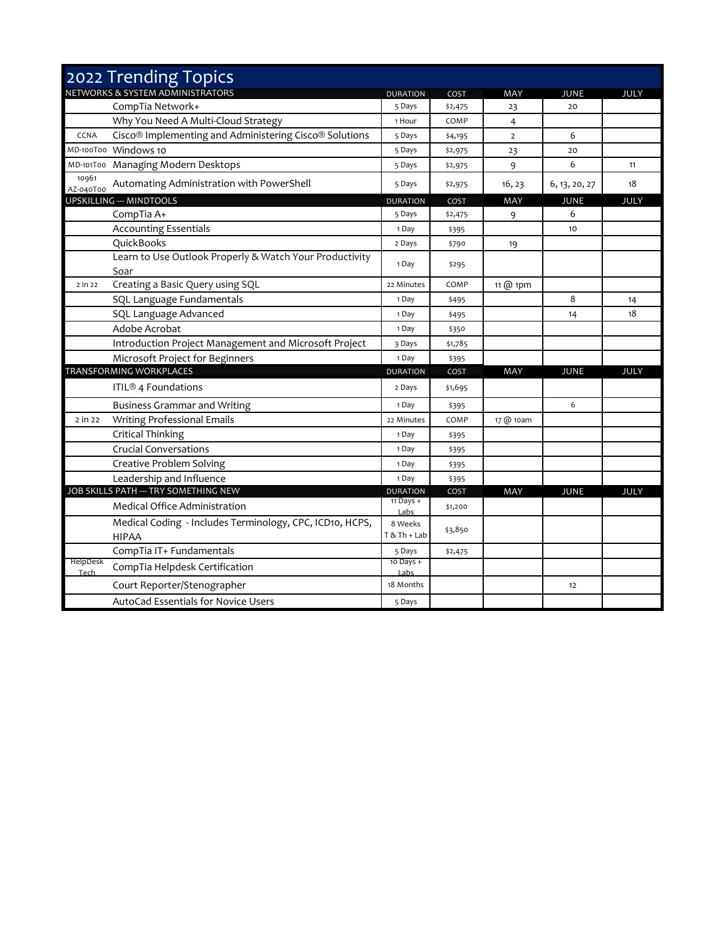|                    | 2022 Trending Topics                                                           |                         |         |                |               |             |
|--------------------|--------------------------------------------------------------------------------|-------------------------|---------|----------------|---------------|-------------|
|                    | NETWORKS & SYSTEM ADMINISTRATORS                                               | <b>DURATION</b>         | COST    | <b>MAY</b>     | JUNE          | <b>JULY</b> |
|                    | CompTia Network+                                                               | 5 Days                  | \$2,475 | 23             | 20            |             |
|                    | Why You Need A Multi-Cloud Strategy                                            | 1 Hour                  | COMP    | 4              |               |             |
| CCNA               | Cisco <sup>®</sup> Implementing and Administering Cisco <sup>®</sup> Solutions | 5 Days                  | \$4,195 | $\overline{2}$ | 6             |             |
|                    | MD-100T00 Windows 10                                                           | 5 Days                  | \$2,975 | 23             | 20            |             |
|                    | MD-101T00 Managing Modern Desktops                                             | 5 Days                  | \$2,975 | 9              | 6             | 11          |
| 10961<br>AZ-040T00 | Automating Administration with PowerShell                                      | 5 Days                  | \$2,975 | 16, 23         | 6, 13, 20, 27 | 18          |
|                    | <b>UPSKILLING --- MINDTOOLS</b>                                                | <b>DURATION</b>         | COST    | MAY            | <b>JUNE</b>   | <b>JULY</b> |
|                    | CompTia A+                                                                     | 5 Days                  | \$2,475 | 9              | 6             |             |
|                    | <b>Accounting Essentials</b>                                                   | 1 Day                   | \$395   |                | 10            |             |
|                    | QuickBooks                                                                     | 2 Days                  | \$790   | 19             |               |             |
|                    | Learn to Use Outlook Properly & Watch Your Productivity<br>Soar                | 1 Day                   | \$295   |                |               |             |
| 2 in 22            | Creating a Basic Query using SQL                                               | 22 Minutes              | COMP    | 11 $@$ 1pm     |               |             |
|                    | SQL Language Fundamentals                                                      | 1 Day                   | \$495   |                | 8             | 14          |
|                    | SQL Language Advanced                                                          | 1 Day                   | \$495   |                | 14            | 18          |
|                    | Adobe Acrobat                                                                  | 1 Day                   | \$350   |                |               |             |
|                    | Introduction Project Management and Microsoft Project                          | 3 Days                  | \$1,785 |                |               |             |
|                    | Microsoft Project for Beginners                                                | 1 Day                   | \$395   |                |               |             |
|                    | TRANSFORMING WORKPLACES                                                        | <b>DURATION</b>         | COST    | MAY            | <b>JUNE</b>   | <b>JULY</b> |
|                    | ITIL <sup>®</sup> 4 Foundations                                                | 2 Days                  | \$1,695 |                |               |             |
|                    | <b>Business Grammar and Writing</b>                                            | 1 Day                   | \$395   |                | 6             |             |
| 2 in 22            | <b>Writing Professional Emails</b>                                             | 22 Minutes              | COMP    | 17 @ 10am      |               |             |
|                    | Critical Thinking                                                              | 1 Day                   | \$395   |                |               |             |
|                    | <b>Crucial Conversations</b>                                                   | 1 Day                   | \$395   |                |               |             |
|                    | <b>Creative Problem Solving</b>                                                | 1 Day                   | \$395   |                |               |             |
|                    | Leadership and Influence                                                       | 1 Day                   | \$395   |                |               |             |
|                    | JOB SKILLS PATH --- TRY SOMETHING NEW                                          | <b>DURATION</b>         | COST    | MAY            | <b>JUNE</b>   | <b>JULY</b> |
|                    | <b>Medical Office Administration</b>                                           | $11$ Days +<br>Labs     | \$1,200 |                |               |             |
|                    | Medical Coding - Includes Terminology, CPC, ICD10, HCPS,<br><b>HIPAA</b>       | 8 Weeks<br>T & Th + Lab | \$3,850 |                |               |             |
|                    | CompTia IT+ Fundamentals                                                       | 5 Days                  | \$2,475 |                |               |             |
| HelpDesk<br>Tech   | CompTia Helpdesk Certification                                                 | $10$ Days +<br>Labs     |         |                |               |             |
|                    | Court Reporter/Stenographer                                                    | 18 Months               |         |                | 12            |             |
|                    | AutoCad Essentials for Novice Users                                            | 5 Days                  |         |                |               |             |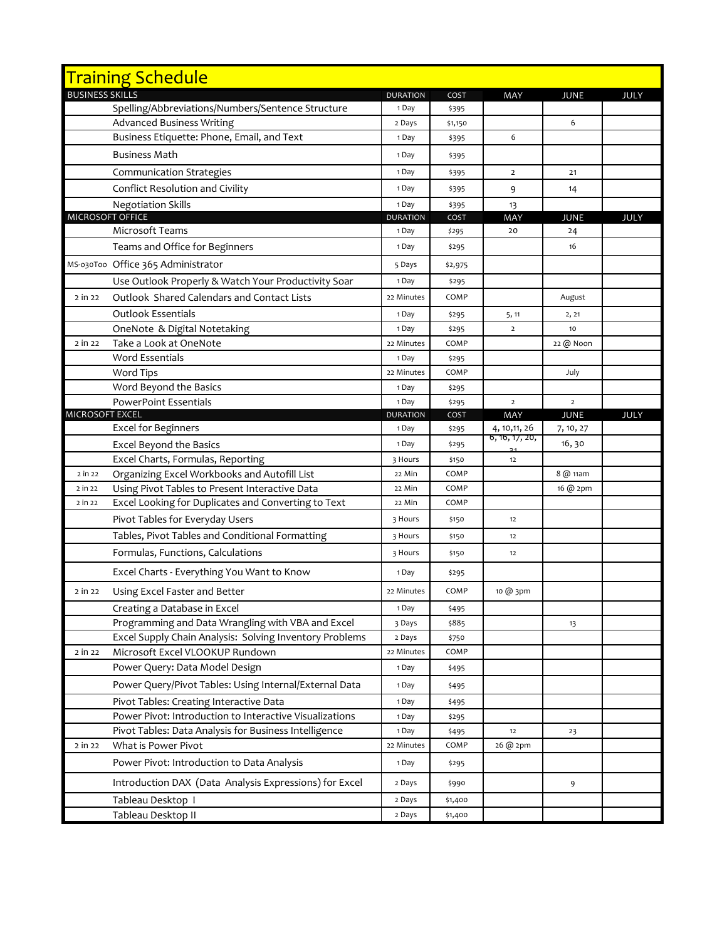|                        | <b>Training Schedule</b>                                |                          |               |                      |                          |      |
|------------------------|---------------------------------------------------------|--------------------------|---------------|----------------------|--------------------------|------|
| <b>BUSINESS SKILLS</b> |                                                         | <b>DURATION</b>          | COST          | MAY                  | <b>JUNE</b>              | JULY |
|                        | Spelling/Abbreviations/Numbers/Sentence Structure       | 1 Day                    | \$395         |                      |                          |      |
|                        | <b>Advanced Business Writing</b>                        | 2 Days                   | \$1,150       |                      | 6                        |      |
|                        | Business Etiquette: Phone, Email, and Text              | 1 Day                    | \$395         | 6                    |                          |      |
|                        | <b>Business Math</b>                                    | 1 Day                    | \$395         |                      |                          |      |
|                        | <b>Communication Strategies</b>                         | 1 Day                    | \$395         | $\overline{2}$       | 21                       |      |
|                        | Conflict Resolution and Civility                        | 1 Day                    | \$395         | 9                    | 14                       |      |
|                        | <b>Negotiation Skills</b>                               | 1 Day                    | \$395         | 13                   |                          |      |
|                        | MICROSOFT OFFICE                                        | <b>DURATION</b>          | COST          | MAY                  | <b>JUNE</b>              | JULY |
|                        | Microsoft Teams                                         | 1 Day                    | \$295         | 20                   | 24                       |      |
|                        | Teams and Office for Beginners                          | 1 Day                    | \$295         |                      | 16                       |      |
|                        | MS-030T00 Office 365 Administrator                      | 5 Days                   | \$2,975       |                      |                          |      |
|                        | Use Outlook Properly & Watch Your Productivity Soar     | 1 Day                    | \$295         |                      |                          |      |
| 2 in 22                | Outlook Shared Calendars and Contact Lists              | 22 Minutes               | COMP          |                      | August                   |      |
|                        | <b>Outlook Essentials</b>                               | 1 Day                    | \$295         | 5, 11                | 2, 21                    |      |
|                        | OneNote & Digital Notetaking                            | 1 Day                    | \$295         | $\overline{2}$       | 10                       |      |
| 2 in 22                | Take a Look at OneNote                                  | 22 Minutes               | COMP          |                      | 22 @ Noon                |      |
|                        | <b>Word Essentials</b>                                  | 1 Day                    | \$295         |                      |                          |      |
|                        | Word Tips                                               | 22 Minutes               | COMP          |                      | July                     |      |
|                        | Word Beyond the Basics                                  | 1 Day                    | \$295         |                      |                          |      |
| <b>MICROSOFT EXCEL</b> | <b>PowerPoint Essentials</b>                            | 1 Day<br><b>DURATION</b> | \$295<br>COST | $\overline{2}$       | $\overline{2}$           |      |
|                        | <b>Excel for Beginners</b>                              | 1 Day                    | \$295         | MAY<br>4, 10, 11, 26 | <b>JUNE</b><br>7, 10, 27 | JULY |
|                        | <b>Excel Beyond the Basics</b>                          | 1 Day                    | \$295         | 6, 16, 17, 20,       | 16, 30                   |      |
|                        | Excel Charts, Formulas, Reporting                       | 3 Hours                  | \$150         | 12                   |                          |      |
| 2 in 22                | Organizing Excel Workbooks and Autofill List            | 22 Min                   | COMP          |                      | 8 @ 11am                 |      |
| 2 in 22                | Using Pivot Tables to Present Interactive Data          | 22 Min                   | COMP          |                      | 16 @ 2pm                 |      |
| 2 in 22                | Excel Looking for Duplicates and Converting to Text     | 22 Min                   | COMP          |                      |                          |      |
|                        | Pivot Tables for Everyday Users                         | 3 Hours                  | \$150         | 12                   |                          |      |
|                        | Tables, Pivot Tables and Conditional Formatting         | 3 Hours                  | \$150         | 12                   |                          |      |
|                        | Formulas, Functions, Calculations                       | 3 Hours                  | \$150         | 12                   |                          |      |
|                        | Excel Charts - Everything You Want to Know              | 1 Day                    | \$295         |                      |                          |      |
| 2 in 22                | Using Excel Faster and Better                           | 22 Minutes               | COMP          | 10 @ 3pm             |                          |      |
|                        | Creating a Database in Excel                            | 1 Day                    | \$495         |                      |                          |      |
|                        | Programming and Data Wrangling with VBA and Excel       | 3 Days                   | \$885         |                      | 13                       |      |
|                        | Excel Supply Chain Analysis: Solving Inventory Problems | 2 Days                   | \$750         |                      |                          |      |
| 2 in 22                | Microsoft Excel VLOOKUP Rundown                         | 22 Minutes               | COMP          |                      |                          |      |
|                        | Power Query: Data Model Design                          | 1 Day                    | \$495         |                      |                          |      |
|                        | Power Query/Pivot Tables: Using Internal/External Data  | 1 Day                    | \$495         |                      |                          |      |
|                        | Pivot Tables: Creating Interactive Data                 | 1 Day                    | \$495         |                      |                          |      |
|                        | Power Pivot: Introduction to Interactive Visualizations | 1 Day                    | \$295         |                      |                          |      |
|                        | Pivot Tables: Data Analysis for Business Intelligence   | 1 Day                    | \$495         | 12                   | 23                       |      |
| 2 in 22                | What is Power Pivot                                     | 22 Minutes               | COMP          | 26 @ 2pm             |                          |      |
|                        | Power Pivot: Introduction to Data Analysis              | 1 Day                    | \$295         |                      |                          |      |
|                        | Introduction DAX (Data Analysis Expressions) for Excel  | 2 Days                   | \$990         |                      | 9                        |      |
|                        | Tableau Desktop 1                                       | 2 Days                   | \$1,400       |                      |                          |      |
|                        | Tableau Desktop II                                      | 2 Days                   | \$1,400       |                      |                          |      |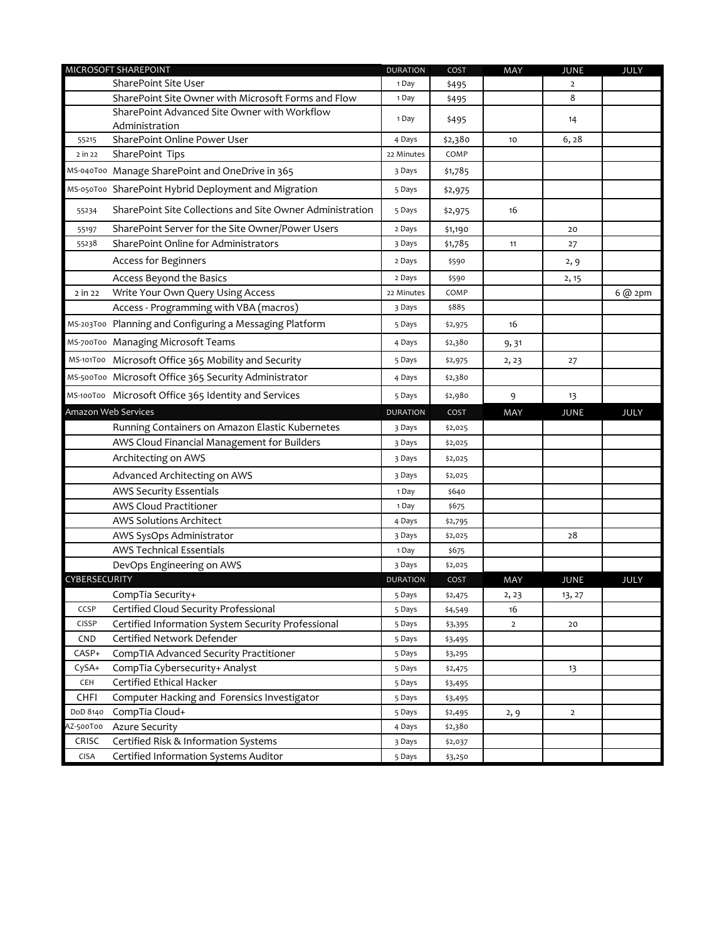|               | MICROSOFT SHAREPOINT                                      | <b>DURATION</b> | COST    | MAY            | <b>JUNE</b>    | JULY         |
|---------------|-----------------------------------------------------------|-----------------|---------|----------------|----------------|--------------|
|               | SharePoint Site User                                      | 1 Day           | \$495   |                | $\overline{2}$ |              |
|               | SharePoint Site Owner with Microsoft Forms and Flow       | 1 Day           | \$495   |                | 8              |              |
|               | SharePoint Advanced Site Owner with Workflow              | 1 Day           | \$495   |                | 14             |              |
|               | Administration                                            |                 |         |                |                |              |
| 55215         | SharePoint Online Power User                              | 4 Days          | \$2,380 | 10             | 6, 28          |              |
| 2 in 22       | SharePoint Tips                                           | 22 Minutes      | COMP    |                |                |              |
|               | MS-040T00 Manage SharePoint and OneDrive in 365           | 3 Days          | \$1,785 |                |                |              |
|               | MS-050T00 SharePoint Hybrid Deployment and Migration      | 5 Days          | \$2,975 |                |                |              |
| 55234         | SharePoint Site Collections and Site Owner Administration | 5 Days          | \$2,975 | 16             |                |              |
| 55197         | SharePoint Server for the Site Owner/Power Users          | 2 Days          | \$1,190 |                | 20             |              |
| 55238         | SharePoint Online for Administrators                      | 3 Days          | \$1,785 | 11             | 27             |              |
|               | Access for Beginners                                      | 2 Days          | \$590   |                | 2, 9           |              |
|               | Access Beyond the Basics                                  | 2 Days          | \$590   |                | 2, 15          |              |
| 2 in 22       | Write Your Own Query Using Access                         | 22 Minutes      | COMP    |                |                | $6$ @ $2$ pm |
|               | Access - Programming with VBA (macros)                    | 3 Days          | \$885   |                |                |              |
|               | MS-203T00 Planning and Configuring a Messaging Platform   | 5 Days          | \$2,975 | 16             |                |              |
|               | MS-700T00 Managing Microsoft Teams                        | 4 Days          | \$2,380 | 9,31           |                |              |
|               | MS-101T00 Microsoft Office 365 Mobility and Security      | 5 Days          | \$2,975 | 2, 23          | 27             |              |
|               | MS-500T00 Microsoft Office 365 Security Administrator     | 4 Days          | \$2,380 |                |                |              |
|               | MS-100T00 Microsoft Office 365 Identity and Services      | 5 Days          | \$2,980 | 9              | 13             |              |
|               | Amazon Web Services                                       | <b>DURATION</b> | COST    | MAY            | <b>JUNE</b>    | JULY         |
|               | Running Containers on Amazon Elastic Kubernetes           | 3 Days          | \$2,025 |                |                |              |
|               | AWS Cloud Financial Management for Builders               | 3 Days          | \$2,025 |                |                |              |
|               | Architecting on AWS                                       | 3 Days          | \$2,025 |                |                |              |
|               | Advanced Architecting on AWS                              | 3 Days          | \$2,025 |                |                |              |
|               | <b>AWS Security Essentials</b>                            | 1 Day           | \$640   |                |                |              |
|               | AWS Cloud Practitioner                                    | 1 Day           | \$675   |                |                |              |
|               | <b>AWS Solutions Architect</b>                            | 4 Days          | \$2,795 |                |                |              |
|               | AWS SysOps Administrator                                  | 3 Days          | \$2,025 |                | 28             |              |
|               | <b>AWS Technical Essentials</b>                           | 1 Day           | \$675   |                |                |              |
|               | DevOps Engineering on AWS                                 | 3 Days          | \$2,025 |                |                |              |
| CYBERSECURITY |                                                           | <b>DURATION</b> | COST    | MAY            | <b>JUNE</b>    | <b>JULY</b>  |
|               | CompTia Security+                                         | 5 Days          | \$2,475 | 2, 23          | 13, 27         |              |
| CCSP          | Certified Cloud Security Professional                     | 5 Days          | \$4,549 | 16             |                |              |
| CISSP         | Certified Information System Security Professional        | 5 Days          | \$3,395 | $\overline{2}$ | 20             |              |
| <b>CND</b>    | Certified Network Defender                                | 5 Days          | \$3,495 |                |                |              |
| CASP+         | CompTIA Advanced Security Practitioner                    | 5 Days          | \$3,295 |                |                |              |
| CySA+         | CompTia Cybersecurity+ Analyst                            | 5 Days          | \$2,475 |                | 13             |              |
| CEH           | Certified Ethical Hacker                                  | 5 Days          | \$3,495 |                |                |              |
| <b>CHFI</b>   | Computer Hacking and Forensics Investigator               | 5 Days          | \$3,495 |                |                |              |
| DoD 8140      | CompTia Cloud+                                            | 5 Days          | \$2,495 | 2, 9           | $\overline{2}$ |              |
| AZ-500T00     | <b>Azure Security</b>                                     | 4 Days          | \$2,380 |                |                |              |
| CRISC         | Certified Risk & Information Systems                      | 3 Days          | \$2,037 |                |                |              |
| <b>CISA</b>   | Certified Information Systems Auditor                     | 5 Days          | \$3,250 |                |                |              |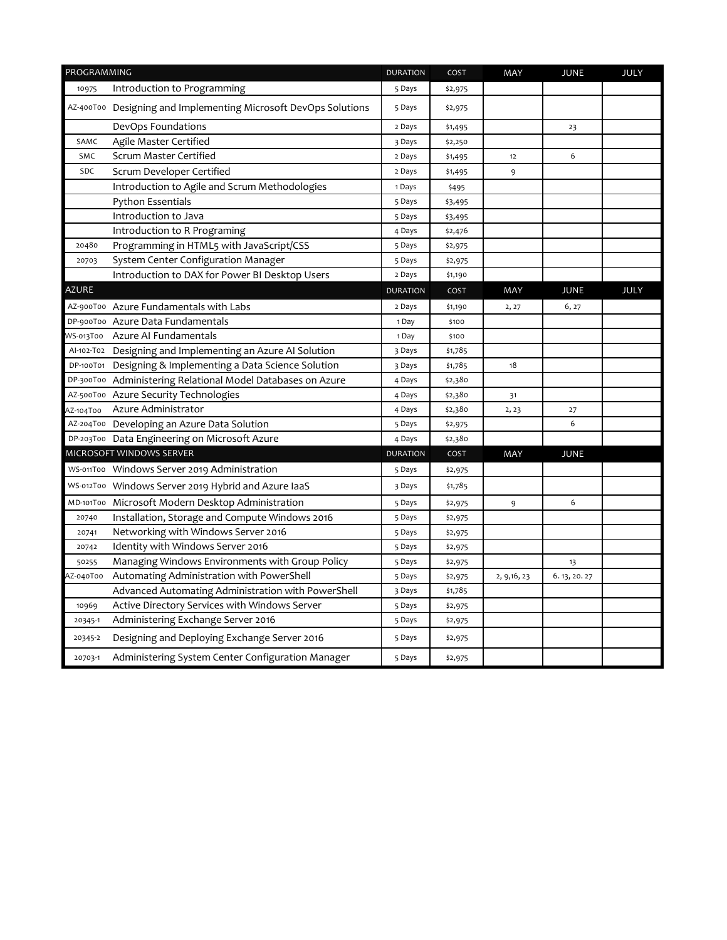| PROGRAMMING  |                                                                 | <b>DURATION</b> | COST    | MAY          | <b>JUNE</b>   | <b>JULY</b> |
|--------------|-----------------------------------------------------------------|-----------------|---------|--------------|---------------|-------------|
| 10975        | Introduction to Programming                                     | 5 Days          | \$2,975 |              |               |             |
|              | AZ-400T00 Designing and Implementing Microsoft DevOps Solutions | 5 Days          | \$2,975 |              |               |             |
|              | DevOps Foundations                                              | 2 Days          | \$1,495 |              | 23            |             |
| SAMC         | Agile Master Certified                                          | 3 Days          | \$2,250 |              |               |             |
| SMC          | Scrum Master Certified                                          | 2 Days          | \$1,495 | 12           | 6             |             |
| SDC          | Scrum Developer Certified                                       | 2 Days          | \$1,495 | 9            |               |             |
|              | Introduction to Agile and Scrum Methodologies                   | 1 Days          | \$495   |              |               |             |
|              | <b>Python Essentials</b>                                        | 5 Days          | \$3,495 |              |               |             |
|              | Introduction to Java                                            | 5 Days          | \$3,495 |              |               |             |
|              | Introduction to R Programing                                    | 4 Days          | \$2,476 |              |               |             |
| 20480        | Programming in HTML5 with JavaScript/CSS                        | 5 Days          | \$2,975 |              |               |             |
| 20703        | System Center Configuration Manager                             | 5 Days          | \$2,975 |              |               |             |
|              | Introduction to DAX for Power BI Desktop Users                  | 2 Days          | \$1,190 |              |               |             |
| <b>AZURE</b> |                                                                 | <b>DURATION</b> | COST    | MAY          | <b>JUNE</b>   | <b>JULY</b> |
|              | AZ-900T00 Azure Fundamentals with Labs                          | 2 Days          | \$1,190 | 2, 27        | 6, 27         |             |
|              | DP-900T00 Azure Data Fundamentals                               | 1 Day           | \$100   |              |               |             |
|              | WS-013T00 Azure Al Fundamentals                                 | 1 Day           | \$100   |              |               |             |
|              | Al-102-T02 Designing and Implementing an Azure Al Solution      | 3 Days          | \$1,785 |              |               |             |
|              | DP-100T01 Designing & Implementing a Data Science Solution      | 3 Days          | \$1,785 | 18           |               |             |
|              | DP-300T00 Administering Relational Model Databases on Azure     | 4 Days          | \$2,380 |              |               |             |
|              | AZ-500T00 Azure Security Technologies                           | 4 Days          | \$2,380 | 31           |               |             |
| AZ-104T00    | Azure Administrator                                             | 4 Days          | \$2,380 | 2, 23        | 27            |             |
|              | AZ-204T00 Developing an Azure Data Solution                     | 5 Days          | \$2,975 |              | 6             |             |
|              | DP-203T00 Data Engineering on Microsoft Azure                   | 4 Days          | \$2,380 |              |               |             |
|              | MICROSOFT WINDOWS SERVER                                        | <b>DURATION</b> | COST    | MAY          | <b>JUNE</b>   |             |
|              | WS-011T00 Windows Server 2019 Administration                    | 5 Days          | \$2,975 |              |               |             |
|              | WS-012T00 Windows Server 2019 Hybrid and Azure laaS             | 3 Days          | \$1,785 |              |               |             |
|              | MD-101T00 Microsoft Modern Desktop Administration               | 5 Days          | \$2,975 | 9            | 6             |             |
| 20740        | Installation, Storage and Compute Windows 2016                  | 5 Days          | \$2,975 |              |               |             |
| 20741        | Networking with Windows Server 2016                             | 5 Days          | \$2,975 |              |               |             |
| 20742        | Identity with Windows Server 2016                               | 5 Days          | \$2,975 |              |               |             |
| 50255        | Managing Windows Environments with Group Policy                 | 5 Days          | \$2,975 |              | 13            |             |
| 4Z-040T00    | Automating Administration with PowerShell                       | 5 Days          | \$2,975 | 2, 9, 16, 23 | 6. 13, 20. 27 |             |
|              | Advanced Automating Administration with PowerShell              | 3 Days          | \$1,785 |              |               |             |
| 10969        | Active Directory Services with Windows Server                   | 5 Days          | \$2,975 |              |               |             |
| 20345-1      | Administering Exchange Server 2016                              | 5 Days          | \$2,975 |              |               |             |
| 20345-2      | Designing and Deploying Exchange Server 2016                    | 5 Days          | \$2,975 |              |               |             |
| 20703-1      | Administering System Center Configuration Manager               | 5 Days          | \$2,975 |              |               |             |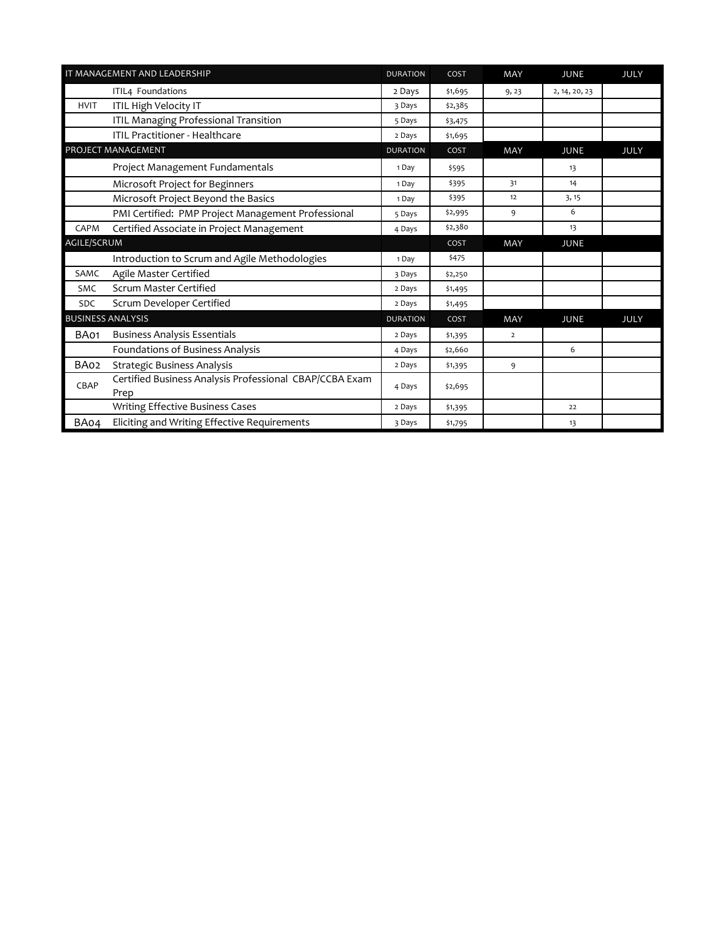|                    | IT MANAGEMENT AND LEADERSHIP                                    | <b>DURATION</b> | COST    | <b>MAY</b>     | <b>JUNE</b>   | <b>JULY</b> |
|--------------------|-----------------------------------------------------------------|-----------------|---------|----------------|---------------|-------------|
|                    | ITIL4 Foundations                                               | 2 Days          | \$1,695 | 9, 23          | 2, 14, 20, 23 |             |
| <b>HVIT</b>        | ITIL High Velocity IT                                           | 3 Days          | \$2,385 |                |               |             |
|                    | ITIL Managing Professional Transition                           | 5 Days          | \$3,475 |                |               |             |
|                    | <b>ITIL Practitioner - Healthcare</b>                           | 2 Days          | \$1,695 |                |               |             |
|                    | PROJECT MANAGEMENT                                              | <b>DURATION</b> | COST    | MAY            | <b>JUNE</b>   | <b>JULY</b> |
|                    | Project Management Fundamentals                                 | 1 Day           | \$595   |                | 13            |             |
|                    | Microsoft Project for Beginners                                 | 1 Day           | \$395   | 31             | 14            |             |
|                    | Microsoft Project Beyond the Basics                             | 1 Day           | \$395   | 12             | 3, 15         |             |
|                    | PMI Certified: PMP Project Management Professional              | 5 Days          | \$2,995 | 9              | 6             |             |
| CAPM               | Certified Associate in Project Management                       | 4 Days          | \$2,380 |                | 13            |             |
| <b>AGILE/SCRUM</b> |                                                                 |                 | COST    | MAY            | <b>JUNE</b>   |             |
|                    | Introduction to Scrum and Agile Methodologies                   | 1 Day           | \$475   |                |               |             |
| SAMC               | Agile Master Certified                                          | 3 Days          | \$2,250 |                |               |             |
| SMC                | Scrum Master Certified                                          | 2 Days          | \$1,495 |                |               |             |
| <b>SDC</b>         | Scrum Developer Certified                                       | 2 Days          | \$1,495 |                |               |             |
|                    | <b>BUSINESS ANALYSIS</b>                                        | <b>DURATION</b> | COST    | <b>MAY</b>     | <b>JUNE</b>   | JULY        |
| BA01               | <b>Business Analysis Essentials</b>                             | 2 Days          | \$1,395 | $\overline{2}$ |               |             |
|                    | Foundations of Business Analysis                                | 4 Days          | \$2,660 |                | 6             |             |
| BA02               | <b>Strategic Business Analysis</b>                              | 2 Days          | \$1,395 | 9              |               |             |
| CBAP               | Certified Business Analysis Professional CBAP/CCBA Exam<br>Prep | 4 Days          | \$2,695 |                |               |             |
|                    | <b>Writing Effective Business Cases</b>                         | 2 Days          | \$1,395 |                | 22            |             |
| BA04               | Eliciting and Writing Effective Requirements                    | 3 Days          | \$1,795 |                | 13            |             |